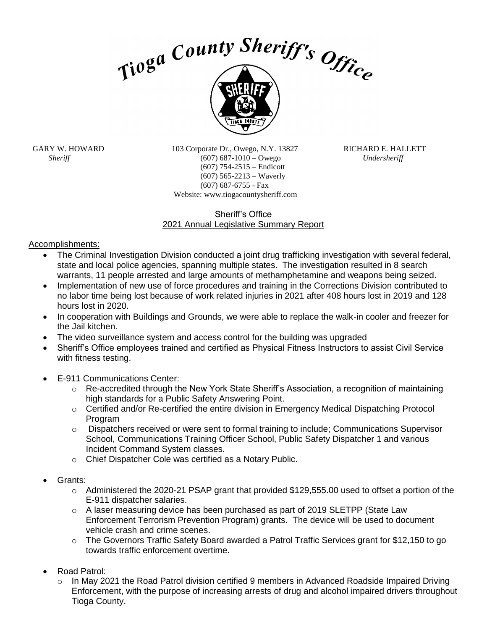



GARY W. HOWARD 103 Corporate Dr., Owego, N.Y. 13827 RICHARD E. HALLETT *Sheriff* (607) 687-1010 – Owego *Undersheriff* (607) 754-2515 – Endicott (607) 565-2213 – Waverly (607) 687-6755 - Fax Website: www.tiogacountysheriff.com

## Sheriff's Office 2021 Annual Legislative Summary Report

Accomplishments:

- The Criminal Investigation Division conducted a joint drug trafficking investigation with several federal, state and local police agencies, spanning multiple states. The investigation resulted in 8 search warrants, 11 people arrested and large amounts of methamphetamine and weapons being seized.
- Implementation of new use of force procedures and training in the Corrections Division contributed to no labor time being lost because of work related injuries in 2021 after 408 hours lost in 2019 and 128 hours lost in 2020.
- In cooperation with Buildings and Grounds, we were able to replace the walk-in cooler and freezer for the Jail kitchen.
- The video surveillance system and access control for the building was upgraded
- Sheriff's Office employees trained and certified as Physical Fitness Instructors to assist Civil Service with fitness testing.
- E-911 Communications Center:
	- o Re-accredited through the New York State Sheriff's Association, a recognition of maintaining high standards for a Public Safety Answering Point.
	- $\circ$  Certified and/or Re-certified the entire division in Emergency Medical Dispatching Protocol Program
	- o Dispatchers received or were sent to formal training to include; Communications Supervisor School, Communications Training Officer School, Public Safety Dispatcher 1 and various Incident Command System classes.
	- o Chief Dispatcher Cole was certified as a Notary Public.
- Grants:
	- o Administered the 2020-21 PSAP grant that provided \$129,555.00 used to offset a portion of the E-911 dispatcher salaries.
	- $\circ$  A laser measuring device has been purchased as part of 2019 SLETPP (State Law Enforcement Terrorism Prevention Program) grants. The device will be used to document vehicle crash and crime scenes.
	- $\circ$  The Governors Traffic Safety Board awarded a Patrol Traffic Services grant for \$12,150 to go towards traffic enforcement overtime.
- Road Patrol:
	- $\circ$  In May 2021 the Road Patrol division certified 9 members in Advanced Roadside Impaired Driving Enforcement, with the purpose of increasing arrests of drug and alcohol impaired drivers throughout Tioga County.